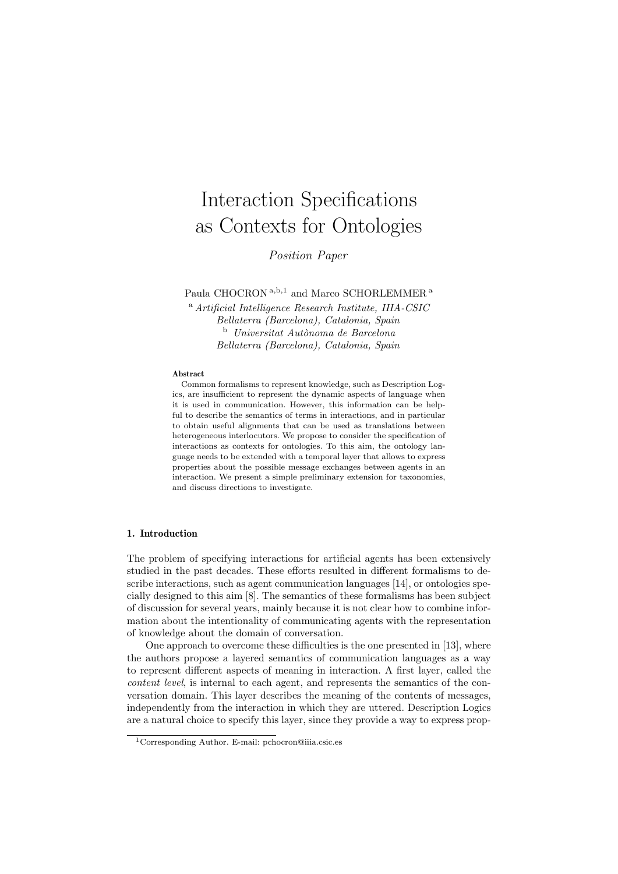# Interaction Specifications as Contexts for Ontologies

Position Paper

Paula CHOCRON a,b,1 and Marco SCHORLEMMER<sup>a</sup>

<sup>a</sup> Artificial Intelligence Research Institute, IIIA-CSIC Bellaterra (Barcelona), Catalonia, Spain  $b$  Universitat Autònoma de Barcelona Bellaterra (Barcelona), Catalonia, Spain

#### Abstract

Common formalisms to represent knowledge, such as Description Logics, are insufficient to represent the dynamic aspects of language when it is used in communication. However, this information can be helpful to describe the semantics of terms in interactions, and in particular to obtain useful alignments that can be used as translations between heterogeneous interlocutors. We propose to consider the specification of interactions as contexts for ontologies. To this aim, the ontology language needs to be extended with a temporal layer that allows to express properties about the possible message exchanges between agents in an interaction. We present a simple preliminary extension for taxonomies, and discuss directions to investigate.

# 1. Introduction

The problem of specifying interactions for artificial agents has been extensively studied in the past decades. These efforts resulted in different formalisms to describe interactions, such as agent communication languages [14], or ontologies specially designed to this aim [8]. The semantics of these formalisms has been subject of discussion for several years, mainly because it is not clear how to combine information about the intentionality of communicating agents with the representation of knowledge about the domain of conversation.

One approach to overcome these difficulties is the one presented in [13], where the authors propose a layered semantics of communication languages as a way to represent different aspects of meaning in interaction. A first layer, called the content level, is internal to each agent, and represents the semantics of the conversation domain. This layer describes the meaning of the contents of messages, independently from the interaction in which they are uttered. Description Logics are a natural choice to specify this layer, since they provide a way to express prop-

<sup>1</sup>Corresponding Author. E-mail: pchocron@iiia.csic.es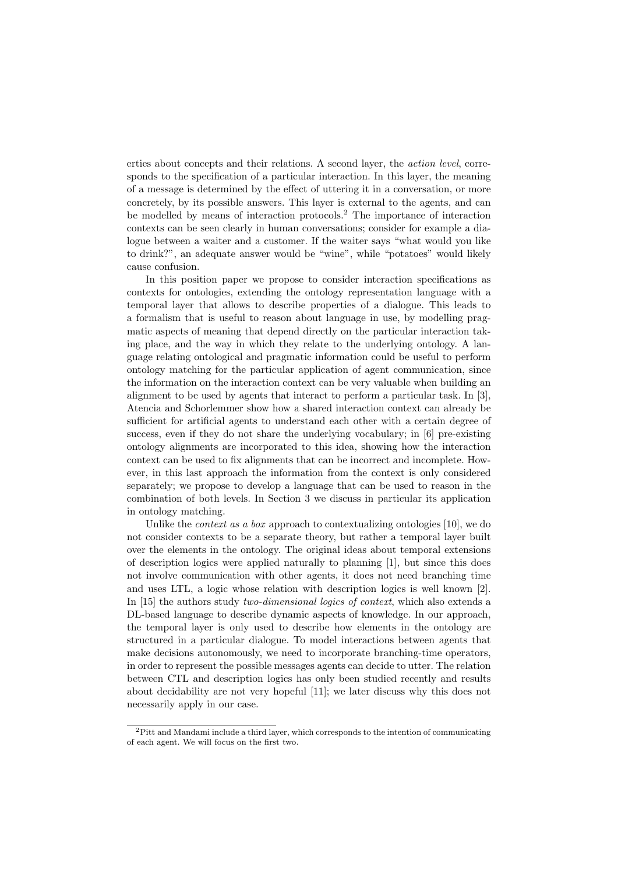erties about concepts and their relations. A second layer, the action level, corresponds to the specification of a particular interaction. In this layer, the meaning of a message is determined by the effect of uttering it in a conversation, or more concretely, by its possible answers. This layer is external to the agents, and can be modelled by means of interaction protocols.<sup>2</sup> The importance of interaction contexts can be seen clearly in human conversations; consider for example a dialogue between a waiter and a customer. If the waiter says "what would you like to drink?", an adequate answer would be "wine", while "potatoes" would likely cause confusion.

In this position paper we propose to consider interaction specifications as contexts for ontologies, extending the ontology representation language with a temporal layer that allows to describe properties of a dialogue. This leads to a formalism that is useful to reason about language in use, by modelling pragmatic aspects of meaning that depend directly on the particular interaction taking place, and the way in which they relate to the underlying ontology. A language relating ontological and pragmatic information could be useful to perform ontology matching for the particular application of agent communication, since the information on the interaction context can be very valuable when building an alignment to be used by agents that interact to perform a particular task. In [3], Atencia and Schorlemmer show how a shared interaction context can already be sufficient for artificial agents to understand each other with a certain degree of success, even if they do not share the underlying vocabulary; in [6] pre-existing ontology alignments are incorporated to this idea, showing how the interaction context can be used to fix alignments that can be incorrect and incomplete. However, in this last approach the information from the context is only considered separately; we propose to develop a language that can be used to reason in the combination of both levels. In Section 3 we discuss in particular its application in ontology matching.

Unlike the context as a box approach to contextualizing ontologies [10], we do not consider contexts to be a separate theory, but rather a temporal layer built over the elements in the ontology. The original ideas about temporal extensions of description logics were applied naturally to planning [1], but since this does not involve communication with other agents, it does not need branching time and uses LTL, a logic whose relation with description logics is well known [2]. In [15] the authors study two-dimensional logics of context, which also extends a DL-based language to describe dynamic aspects of knowledge. In our approach, the temporal layer is only used to describe how elements in the ontology are structured in a particular dialogue. To model interactions between agents that make decisions autonomously, we need to incorporate branching-time operators, in order to represent the possible messages agents can decide to utter. The relation between CTL and description logics has only been studied recently and results about decidability are not very hopeful [11]; we later discuss why this does not necessarily apply in our case.

<sup>2</sup>Pitt and Mandami include a third layer, which corresponds to the intention of communicating of each agent. We will focus on the first two.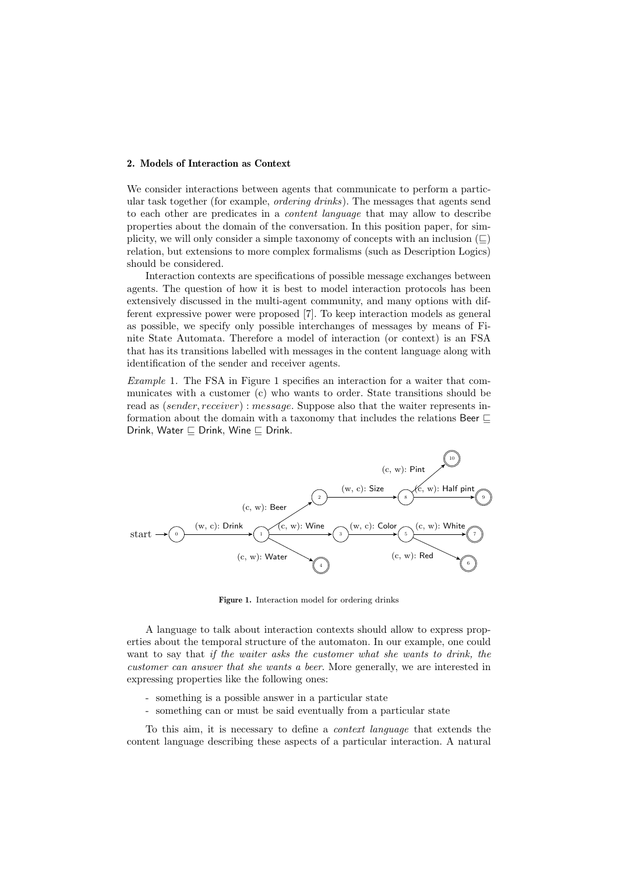# 2. Models of Interaction as Context

We consider interactions between agents that communicate to perform a particular task together (for example, ordering drinks). The messages that agents send to each other are predicates in a content language that may allow to describe properties about the domain of the conversation. In this position paper, for simplicity, we will only consider a simple taxonomy of concepts with an inclusion  $(\square)$ relation, but extensions to more complex formalisms (such as Description Logics) should be considered.

Interaction contexts are specifications of possible message exchanges between agents. The question of how it is best to model interaction protocols has been extensively discussed in the multi-agent community, and many options with different expressive power were proposed [7]. To keep interaction models as general as possible, we specify only possible interchanges of messages by means of Finite State Automata. Therefore a model of interaction (or context) is an FSA that has its transitions labelled with messages in the content language along with identification of the sender and receiver agents.

Example 1. The FSA in Figure 1 specifies an interaction for a waiter that communicates with a customer (c) who wants to order. State transitions should be read as (sender, receiver) : message. Suppose also that the waiter represents information about the domain with a taxonomy that includes the relations Beer  $\sqsubseteq$ Drink, Water  $\sqsubset$  Drink, Wine  $\sqsubset$  Drink.



Figure 1. Interaction model for ordering drinks

A language to talk about interaction contexts should allow to express properties about the temporal structure of the automaton. In our example, one could want to say that if the waiter asks the customer what she wants to drink, the customer can answer that she wants a beer. More generally, we are interested in expressing properties like the following ones:

- something is a possible answer in a particular state
- something can or must be said eventually from a particular state

To this aim, it is necessary to define a context language that extends the content language describing these aspects of a particular interaction. A natural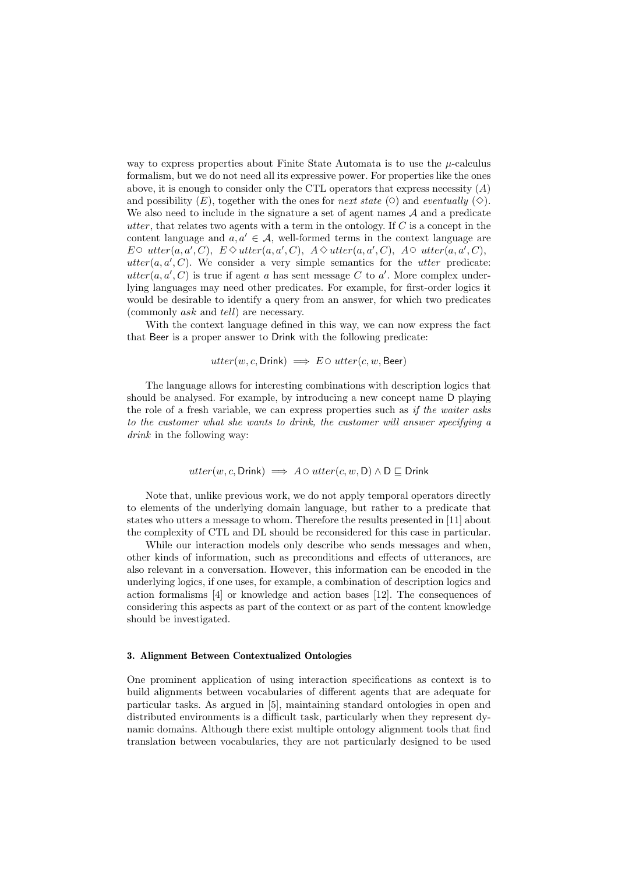way to express properties about Finite State Automata is to use the  $\mu$ -calculus formalism, but we do not need all its expressive power. For properties like the ones above, it is enough to consider only the CTL operators that express necessity  $(A)$ and possibility  $(E)$ , together with the ones for *next state*  $(\circ)$  and *eventually*  $(\diamond)$ . We also need to include in the signature a set of agent names A and a predicate utter, that relates two agents with a term in the ontology. If  $C$  is a concept in the content language and  $a, a' \in \mathcal{A}$ , well-formed terms in the context language are E  $\circ$  utter $(a, a', C)$ ,  $E \diamond$  utter $(a, a', C)$ ,  $A \diamond$  utter $(a, a', C)$ ,  $A \circ$  utter $(a, a', C)$ , utter $(a, a', C)$ . We consider a very simple semantics for the utter predicate: utter $(a, a', C)$  is true if agent a has sent message C to a'. More complex underlying languages may need other predicates. For example, for first-order logics it would be desirable to identify a query from an answer, for which two predicates (commonly ask and tell) are necessary.

With the context language defined in this way, we can now express the fact that Beer is a proper answer to Drink with the following predicate:

$$
utter(w, c, \text{Drink}) \implies E \circ utter(c, w, \text{Beer})
$$

The language allows for interesting combinations with description logics that should be analysed. For example, by introducing a new concept name D playing the role of a fresh variable, we can express properties such as if the waiter asks to the customer what she wants to drink, the customer will answer specifying a drink in the following way:

$$
utter(w, c, Drink) \implies A \circ utter(c, w, D) \land D \sqsubseteq Drink
$$

Note that, unlike previous work, we do not apply temporal operators directly to elements of the underlying domain language, but rather to a predicate that states who utters a message to whom. Therefore the results presented in [11] about the complexity of CTL and DL should be reconsidered for this case in particular.

While our interaction models only describe who sends messages and when, other kinds of information, such as preconditions and effects of utterances, are also relevant in a conversation. However, this information can be encoded in the underlying logics, if one uses, for example, a combination of description logics and action formalisms [4] or knowledge and action bases [12]. The consequences of considering this aspects as part of the context or as part of the content knowledge should be investigated.

## 3. Alignment Between Contextualized Ontologies

One prominent application of using interaction specifications as context is to build alignments between vocabularies of different agents that are adequate for particular tasks. As argued in [5], maintaining standard ontologies in open and distributed environments is a difficult task, particularly when they represent dynamic domains. Although there exist multiple ontology alignment tools that find translation between vocabularies, they are not particularly designed to be used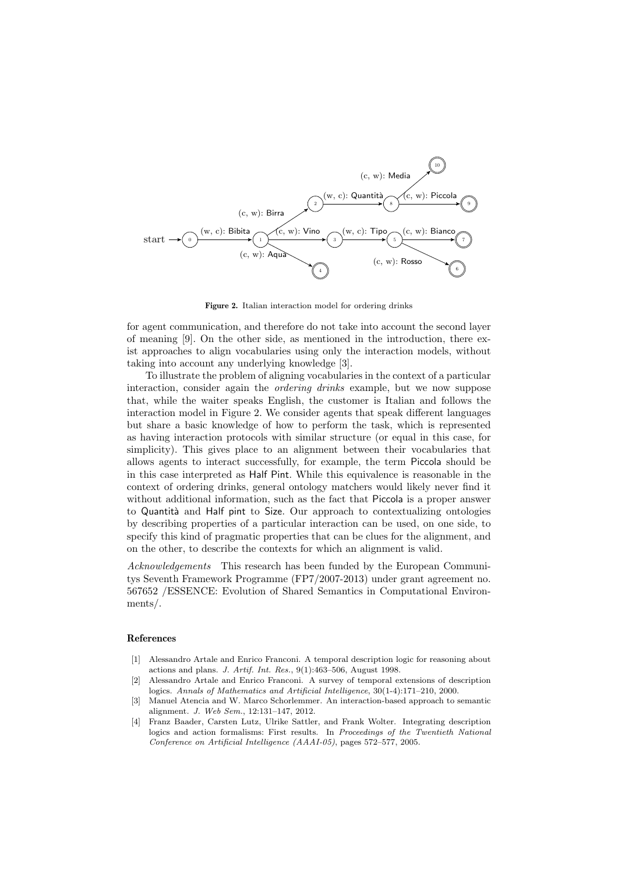

Figure 2. Italian interaction model for ordering drinks

for agent communication, and therefore do not take into account the second layer of meaning [9]. On the other side, as mentioned in the introduction, there exist approaches to align vocabularies using only the interaction models, without taking into account any underlying knowledge [3].

To illustrate the problem of aligning vocabularies in the context of a particular interaction, consider again the ordering drinks example, but we now suppose that, while the waiter speaks English, the customer is Italian and follows the interaction model in Figure 2. We consider agents that speak different languages but share a basic knowledge of how to perform the task, which is represented as having interaction protocols with similar structure (or equal in this case, for simplicity). This gives place to an alignment between their vocabularies that allows agents to interact successfully, for example, the term Piccola should be in this case interpreted as Half Pint. While this equivalence is reasonable in the context of ordering drinks, general ontology matchers would likely never find it without additional information, such as the fact that Piccola is a proper answer to Quantità and Half pint to Size. Our approach to contextualizing ontologies by describing properties of a particular interaction can be used, on one side, to specify this kind of pragmatic properties that can be clues for the alignment, and on the other, to describe the contexts for which an alignment is valid.

Acknowledgements This research has been funded by the European Communitys Seventh Framework Programme (FP7/2007-2013) under grant agreement no. 567652 /ESSENCE: Evolution of Shared Semantics in Computational Environments/.

## References

- [1] Alessandro Artale and Enrico Franconi. A temporal description logic for reasoning about actions and plans. J. Artif. Int. Res., 9(1):463–506, August 1998.
- [2] Alessandro Artale and Enrico Franconi. A survey of temporal extensions of description logics. Annals of Mathematics and Artificial Intelligence, 30(1-4):171–210, 2000.
- [3] Manuel Atencia and W. Marco Schorlemmer. An interaction-based approach to semantic alignment. J. Web Sem., 12:131–147, 2012.
- [4] Franz Baader, Carsten Lutz, Ulrike Sattler, and Frank Wolter. Integrating description logics and action formalisms: First results. In Proceedings of the Twentieth National Conference on Artificial Intelligence (AAAI-05), pages 572–577, 2005.